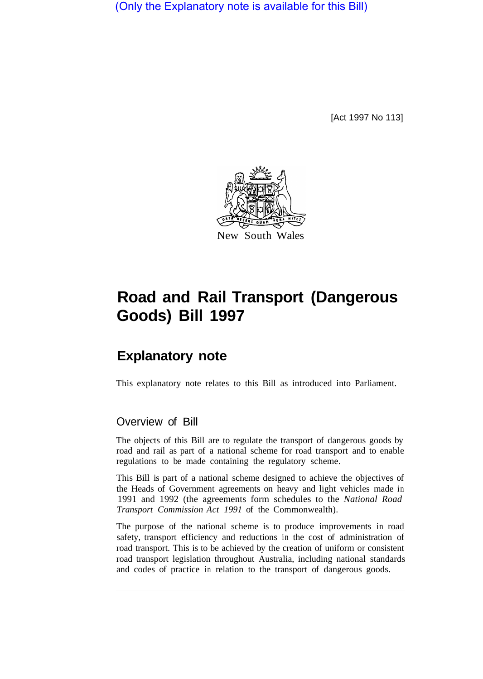(Only the Explanatory note is available for this Bill)

[Act 1997 No 113]



# **Road and Rail Transport (Dangerous Goods) Bill 1997**

# **Explanatory note**

This explanatory note relates to this Bill as introduced into Parliament.

# Overview of Bill

The objects of this Bill are to regulate the transport of dangerous goods by road and rail as part of a national scheme for road transport and to enable regulations to be made containing the regulatory scheme.

This Bill is part of a national scheme designed to achieve the objectives of the Heads of Government agreements on heavy and light vehicles made in 1991 and 1992 (the agreements form schedules to the *National Road Transport Commission Act 1991* of the Commonwealth).

The purpose of the national scheme is to produce improvements in road safety, transport efficiency and reductions in the cost of administration of road transport. This is to be achieved by the creation of uniform or consistent road transport legislation throughout Australia, including national standards and codes of practice in relation to the transport of dangerous goods.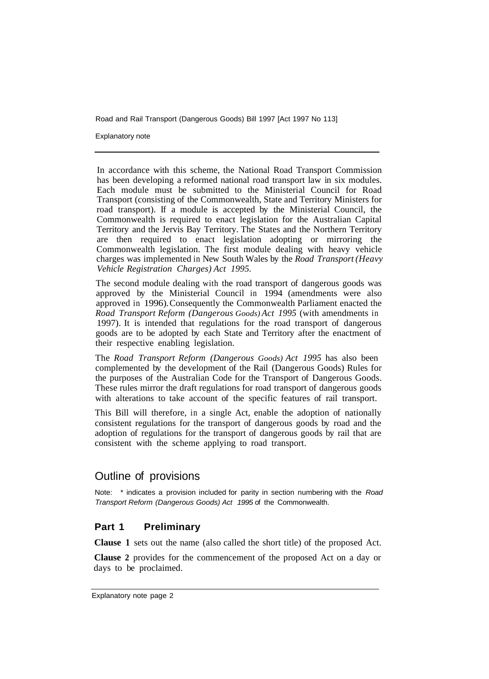Explanatory note

In accordance with this scheme, the National Road Transport Commission has been developing a reformed national road transport law in six modules. Each module must be submitted to the Ministerial Council for Road Transport (consisting of the Commonwealth, State and Territory Ministers for road transport). If a module is accepted by the Ministerial Council, the Commonwealth is required to enact legislation for the Australian Capital Territory and the Jervis Bay Territory. The States and the Northern Territory are then required to enact legislation adopting or mirroring the Commonwealth legislation. The first module dealing with heavy vehicle charges was implemented in New South Wales by the *Road Transport (Heavy Vehicle Registration Charges) Act 1995.* 

The second module dealing with the road transport of dangerous goods was approved by the Ministerial Council in 1994 (amendments were also approved in 1996). Consequently the Commonwealth Parliament enacted the *Road Transport Reform (Dangerous Goods) Act 1995* (with amendments in 1997). It is intended that regulations for the road transport of dangerous goods are to be adopted by each State and Territory after the enactment of their respective enabling legislation.

The *Road Transport Reform (Dangerous Goods) Act 1995* has also been complemented by the development of the Rail (Dangerous Goods) Rules for the purposes of the Australian Code for the Transport of Dangerous Goods. These rules mirror the draft regulations for road transport of dangerous goods with alterations to take account of the specific features of rail transport.

This Bill will therefore, in a single Act, enable the adoption of nationally consistent regulations for the transport of dangerous goods by road and the adoption of regulations for the transport of dangerous goods by rail that are consistent with the scheme applying to road transport.

# Outline of provisions

Note: \* indicates a provision included for parity in section numbering with the *Road Transport Reform (Dangerous Goods) Act 1995* of the Commonwealth.

#### **Part 1 Preliminary**

**Clause 1** sets out the name (also called the short title) of the proposed Act.

**Clause 2** provides for the commencement of the proposed Act on a day or days to be proclaimed.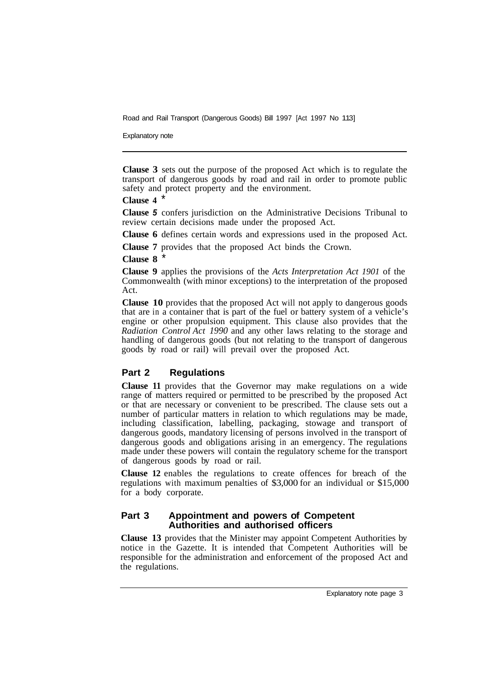Explanatory note

**Clause 3** sets out the purpose of the proposed Act which is to regulate the transport of dangerous goods by road and rail in order to promote public safety and protect property and the environment.

#### **Clause 4** \*

**Clause** *5* confers jurisdiction on the Administrative Decisions Tribunal to review certain decisions made under the proposed Act.

**Clause 6** defines certain words and expressions used in the proposed Act.

**Clause 7** provides that the proposed Act binds the Crown.

**Clause 8** \*

**Clause 9** applies the provisions of the *Acts Interpretation Act 1901* of the Commonwealth (with minor exceptions) to the interpretation of the proposed Act.

**Clause 10** provides that the proposed Act will not apply to dangerous goods that are in a container that is part of the fuel or battery system of a vehicle's engine or other propulsion equipment. This clause also provides that the *Radiation Control Act 1990* and any other laws relating to the storage and handling of dangerous goods (but not relating to the transport of dangerous goods by road or rail) will prevail over the proposed Act.

#### **Part 2 Regulations**

**Clause 11** provides that the Governor may make regulations on a wide range of matters required or permitted to be prescribed by the proposed Act or that are necessary or convenient to be prescribed. The clause sets out a number of particular matters in relation to which regulations may be made, including classification, labelling, packaging, stowage and transport of dangerous goods, mandatory licensing of persons involved in the transport of dangerous goods and obligations arising in an emergency. The regulations made under these powers will contain the regulatory scheme for the transport of dangerous goods by road or rail.

**Clause 12** enables the regulations to create offences for breach of the regulations with maximum penalties of \$3,000 for an individual or \$15,000 for a body corporate.

#### **Part 3 Appointment and powers of Competent Authorities and authorised officers**

**Clause 13** provides that the Minister may appoint Competent Authorities by notice in the Gazette. It is intended that Competent Authorities will be responsible for the administration and enforcement of the proposed Act and the regulations.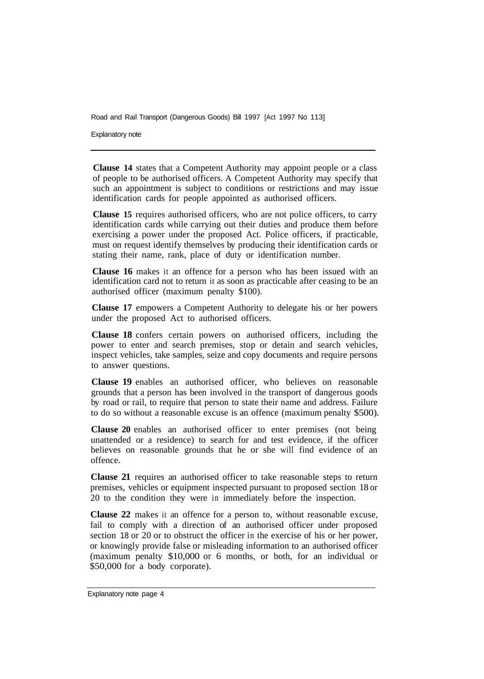Explanatory note

**Clause 14** states that a Competent Authority may appoint people or a class of people to be authorised officers. A Competent Authority may specify that such an appointment is subject to conditions or restrictions and may issue identification cards for people appointed as authorised officers.

**Clause 15** requires authorised officers, who are not police officers, to carry identification cards while carrying out their duties and produce them before exercising a power under the proposed Act. Police officers, if practicable, must on request identify themselves by producing their identification cards or stating their name, rank, place of duty or identification number.

**Clause 16** makes it an offence for a person who has been issued with an identification card not to return it as soon as practicable after ceasing to be an authorised officer (maximum penalty \$100).

**Clause 17** empowers a Competent Authority to delegate his or her powers under the proposed Act to authorised officers.

**Clause 18** confers certain powers on authorised officers, including the power to enter and search premises, stop or detain and search vehicles, inspect vehicles, take samples, seize and copy documents and require persons to answer questions.

**Clause 19** enables an authorised officer, who believes on reasonable grounds that a person has been involved in the transport of dangerous goods by road or rail, to require that person to state their name and address. Failure to do so without a reasonable excuse is an offence (maximum penalty \$500).

**Clause 20** enables an authorised officer to enter premises (not being unattended or a residence) to search for and test evidence, if the officer believes on reasonable grounds that he or she will find evidence of an offence.

**Clause 21** requires an authorised officer to take reasonable steps to return premises, vehicles or equipment inspected pursuant to proposed section 18 or 20 to the condition they were in immediately before the inspection.

**Clause 22** makes it an offence for a person to, without reasonable excuse, fail to comply with a direction of an authorised officer under proposed section 18 or 20 or to obstruct the officer in the exercise of his or her power, or knowingly provide false or misleading information to an authorised officer (maximum penalty \$10,000 or 6 months, or both, for an individual or \$50,000 for a body corporate).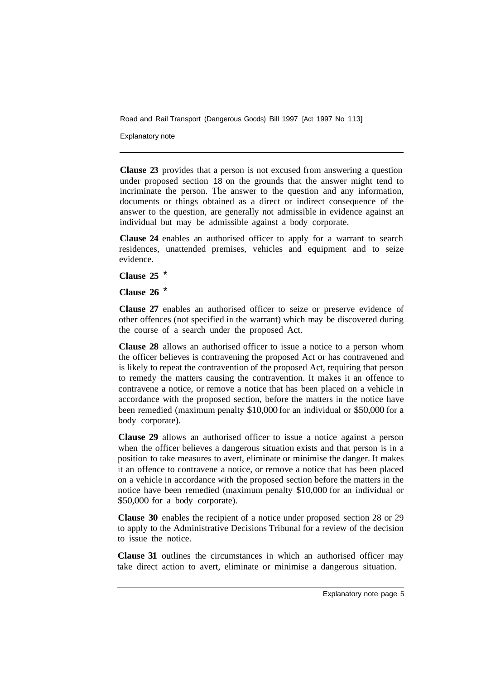Explanatory note

**Clause 23** provides that a person is not excused from answering a question under proposed section 18 on the grounds that the answer might tend to incriminate the person. The answer to the question and any information, documents or things obtained as a direct or indirect consequence of the answer to the question, are generally not admissible in evidence against an individual but may be admissible against a body corporate.

**Clause 24** enables an authorised officer to apply for a warrant to search residences, unattended premises, vehicles and equipment and to seize evidence.

**Clause 25** \*

**Clause 26** \*

**Clause 27** enables an authorised officer to seize or preserve evidence of other offences (not specified in the warrant) which may be discovered during the course of a search under the proposed Act.

**Clause 28** allows an authorised officer to issue a notice to a person whom the officer believes is contravening the proposed Act or has contravened and is likely to repeat the contravention of the proposed Act, requiring that person to remedy the matters causing the contravention. It makes it an offence to contravene a notice, or remove a notice that has been placed on a vehicle in accordance with the proposed section, before the matters in the notice have been remedied (maximum penalty \$10,000 for an individual or \$50,000 for a body corporate).

**Clause 29** allows an authorised officer to issue a notice against a person when the officer believes a dangerous situation exists and that person is in a position to take measures to avert, eliminate or minimise the danger. It makes it an offence to contravene a notice, or remove a notice that has been placed on a vehicle in accordance with the proposed section before the matters in the notice have been remedied (maximum penalty \$10,000 for an individual or \$50,000 for a body corporate).

**Clause 30** enables the recipient of a notice under proposed section 28 or 29 to apply to the Administrative Decisions Tribunal for a review of the decision to issue the notice.

**Clause 31** outlines the circumstances in which an authorised officer may take direct action to avert, eliminate or minimise a dangerous situation.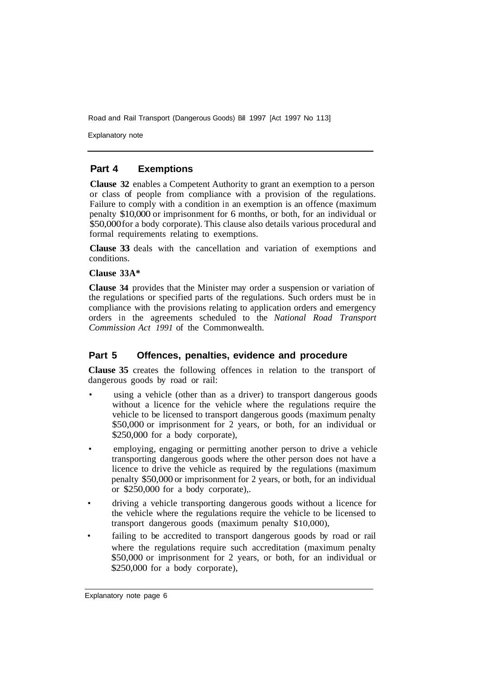Explanatory note

#### **Part 4 Exemptions**

**Clause 32** enables a Competent Authority to grant an exemption to a person or class of people from compliance with a provision of the regulations. Failure to comply with a condition in an exemption is an offence (maximum penalty \$10,000 or imprisonment for 6 months, or both, for an individual or \$50,000 for a body corporate). This clause also details various procedural and formal requirements relating to exemptions.

**Clause 33** deals with the cancellation and variation of exemptions and conditions.

#### **Clause 33A\***

**Clause 34** provides that the Minister may order a suspension or variation of the regulations or specified parts of the regulations. Such orders must be in compliance with the provisions relating to application orders and emergency orders in the agreements scheduled to the *National Road Transport Commission Act 1991* of the Commonwealth.

#### **Part 5 Offences, penalties, evidence and procedure**

**Clause 35** creates the following offences in relation to the transport of dangerous goods by road or rail:

- using a vehicle (other than as a driver) to transport dangerous goods without a licence for the vehicle where the regulations require the vehicle to be licensed to transport dangerous goods (maximum penalty \$50,000 or imprisonment for 2 years, or both, for an individual or \$250,000 for a body corporate),
- employing, engaging or permitting another person to drive a vehicle transporting dangerous goods where the other person does not have a licence to drive the vehicle as required by the regulations (maximum penalty \$50,000 or imprisonment for 2 years, or both, for an individual or \$250,000 for a body corporate),.
- driving a vehicle transporting dangerous goods without a licence for the vehicle where the regulations require the vehicle to be licensed to transport dangerous goods (maximum penalty \$10,000),
- where the regulations require such accreditation (maximum penalty \$50,000 or imprisonment for 2 years, or both, for an individual or \$250,000 for a body corporate), failing to be accredited to transport dangerous goods by road or rail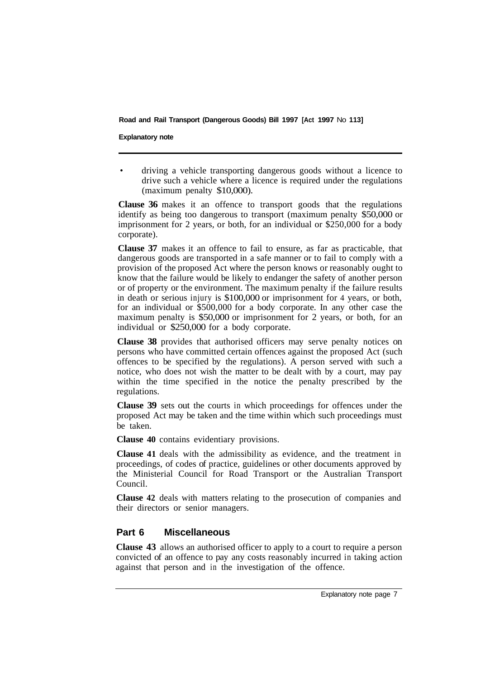#### **Explanatory note**

• driving a vehicle transporting dangerous goods without a licence to drive such a vehicle where a licence is required under the regulations (maximum penalty \$10,000).

**Clause 36** makes it an offence to transport goods that the regulations identify as being too dangerous to transport (maximum penalty \$50,000 or imprisonment for 2 years, or both, for an individual or \$250,000 for a body corporate).

**Clause 37** makes it an offence to fail to ensure, as far as practicable, that dangerous goods are transported in a safe manner or to fail to comply with a provision of the proposed Act where the person knows or reasonably ought to know that the failure would be likely to endanger the safety of another person or of property or the environment. The maximum penalty if the failure results in death or serious injury is \$100,000 or imprisonment for 4 years, or both, for an individual or \$500,000 for a body corporate. In any other case the maximum penalty is \$50,000 or imprisonment for 2 years, or both, for an individual or \$250,000 for a body corporate.

**Clause 38** provides that authorised officers may serve penalty notices on persons who have committed certain offences against the proposed Act (such offences to be specified by the regulations). A person served with such a notice, who does not wish the matter to be dealt with by a court, may pay within the time specified in the notice the penalty prescribed by the regulations.

**Clause 39** sets out the courts in which proceedings for offences under the proposed Act may be taken and the time within which such proceedings must be taken.

**Clause 40** contains evidentiary provisions.

**Clause 41** deals with the admissibility as evidence, and the treatment in proceedings, of codes of practice, guidelines or other documents approved by the Ministerial Council for Road Transport or the Australian Transport Council.

**Clause 42** deals with matters relating to the prosecution of companies and their directors or senior managers.

### **Part 6 Miscellaneous**

**Clause 43** allows an authorised officer to apply to a court to require a person convicted of an offence to pay any costs reasonably incurred in taking action against that person and in the investigation of the offence.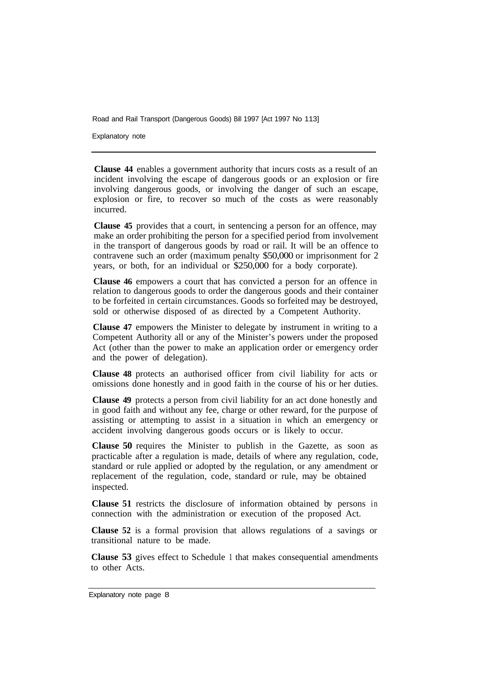Explanatory note

**Clause 44** enables a government authority that incurs costs as a result of an incident involving the escape of dangerous goods or an explosion or fire involving dangerous goods, or involving the danger of such an escape, explosion or fire, to recover so much of the costs as were reasonably incurred.

**Clause 45** provides that a court, in sentencing a person for an offence, may make an order prohibiting the person for a specified period from involvement in the transport of dangerous goods by road or rail. It will be an offence to contravene such an order (maximum penalty \$50,000 or imprisonment for 2 years, or both, for an individual or \$250,000 for a body corporate).

**Clause 46** empowers a court that has convicted a person for an offence in relation to dangerous goods to order the dangerous goods and their container to be forfeited in certain circumstances. Goods so forfeited may be destroyed, sold or otherwise disposed of as directed by a Competent Authority.

**Clause 47** empowers the Minister to delegate by instrument in writing to a Competent Authority all or any of the Minister's powers under the proposed Act (other than the power to make an application order or emergency order and the power of delegation).

**Clause 48** protects an authorised officer from civil liability for acts or omissions done honestly and in good faith in the course of his or her duties.

**Clause 49** protects a person from civil liability for an act done honestly and in good faith and without any fee, charge or other reward, for the purpose of assisting or attempting to assist in a situation in which an emergency or accident involving dangerous goods occurs or is likely to occur.

**Clause 50** requires the Minister to publish in the Gazette, as soon as practicable after a regulation is made, details of where any regulation, code, standard or rule applied or adopted by the regulation, or any amendment or replacement of the regulation, code, standard or rule, may be obtained inspected.

**Clause 51** restricts the disclosure of information obtained by persons in connection with the administration or execution of the proposed Act.

**Clause 52** is a formal provision that allows regulations of a savings or transitional nature to be made.

**Clause 53** gives effect to Schedule 1 that makes consequential amendments to other Acts.

Explanatory note page 8